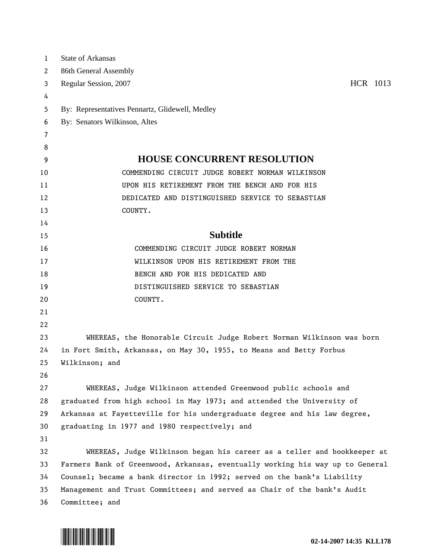| $\mathbf{1}$ | <b>State of Arkansas</b>                                                      |
|--------------|-------------------------------------------------------------------------------|
| 2            | 86th General Assembly                                                         |
| 3            | HCR 1013<br>Regular Session, 2007                                             |
| 4            |                                                                               |
| 5            | By: Representatives Pennartz, Glidewell, Medley                               |
| 6            | By: Senators Wilkinson, Altes                                                 |
| 7            |                                                                               |
| 8            |                                                                               |
| 9            | <b>HOUSE CONCURRENT RESOLUTION</b>                                            |
| 10           | COMMENDING CIRCUIT JUDGE ROBERT NORMAN WILKINSON                              |
| 11           | UPON HIS RETIREMENT FROM THE BENCH AND FOR HIS                                |
| 12           | DEDICATED AND DISTINGUISHED SERVICE TO SEBASTIAN                              |
| 13           | COUNTY.                                                                       |
| 14           |                                                                               |
| 15           | <b>Subtitle</b>                                                               |
| 16           | COMMENDING CIRCUIT JUDGE ROBERT NORMAN                                        |
| 17           | WILKINSON UPON HIS RETIREMENT FROM THE                                        |
| 18           | BENCH AND FOR HIS DEDICATED AND                                               |
| 19           | DISTINGUISHED SERVICE TO SEBASTIAN                                            |
| 20           | COUNTY.                                                                       |
| 21           |                                                                               |
| 22           |                                                                               |
| 23           | WHEREAS, the Honorable Circuit Judge Robert Norman Wilkinson was born         |
| 24           | in Fort Smith, Arkansas, on May 30, 1955, to Means and Betty Forbus           |
| 25           | Wilkinson; and                                                                |
| 26           |                                                                               |
| 27           | WHEREAS, Judge Wilkinson attended Greenwood public schools and                |
| 28           | graduated from high school in May 1973; and attended the University of        |
| 29           | Arkansas at Fayetteville for his undergraduate degree and his law degree,     |
| 30           | graduating in 1977 and 1980 respectively; and                                 |
| 31           |                                                                               |
| 32           | WHEREAS, Judge Wilkinson began his career as a teller and bookkeeper at       |
| 33           | Farmers Bank of Greenwood, Arkansas, eventually working his way up to General |
| 34           | Counsel; became a bank director in 1992; served on the bank's Liability       |
| 35           | Management and Trust Committees; and served as Chair of the bank's Audit      |
| 36           | Committee; and                                                                |

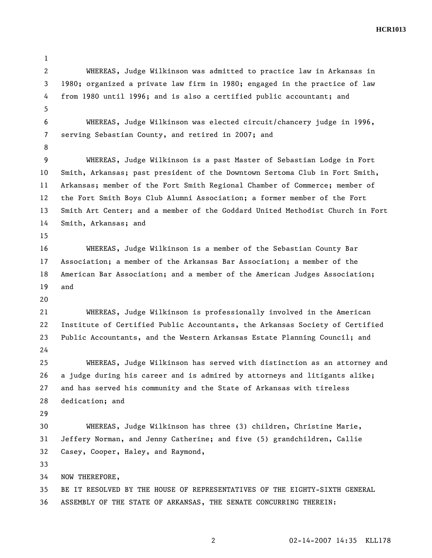**HCR1013** 

2 WHEREAS, Judge Wilkinson was admitted to practice law in Arkansas in 3 1980; organized a private law firm in 1980; engaged in the practice of law 4 from 1980 until 1996; and is also a certified public accountant; and 5 6 WHEREAS, Judge Wilkinson was elected circuit/chancery judge in 1996, 7 serving Sebastian County, and retired in 2007; and 8 9 WHEREAS, Judge Wilkinson is a past Master of Sebastian Lodge in Fort 10 Smith, Arkansas; past president of the Downtown Sertoma Club in Fort Smith, 11 Arkansas; member of the Fort Smith Regional Chamber of Commerce; member of 12 the Fort Smith Boys Club Alumni Association; a former member of the Fort 13 Smith Art Center; and a member of the Goddard United Methodist Church in Fort 14 Smith, Arkansas; and 15 16 WHEREAS, Judge Wilkinson is a member of the Sebastian County Bar 17 Association; a member of the Arkansas Bar Association; a member of the 18 American Bar Association; and a member of the American Judges Association; 19 and 20 21 WHEREAS, Judge Wilkinson is professionally involved in the American 22 Institute of Certified Public Accountants, the Arkansas Society of Certified 23 Public Accountants, and the Western Arkansas Estate Planning Council; and 24 25 WHEREAS, Judge Wilkinson has served with distinction as an attorney and 26 a judge during his career and is admired by attorneys and litigants alike; 27 and has served his community and the State of Arkansas with tireless 28 dedication; and 29 30 WHEREAS, Judge Wilkinson has three (3) children, Christine Marie, 31 Jeffery Norman, and Jenny Catherine; and five (5) grandchildren, Callie 32 Casey, Cooper, Haley, and Raymond, 33 34 NOW THEREFORE, 35 BE IT RESOLVED BY THE HOUSE OF REPRESENTATIVES OF THE EIGHTY-SIXTH GENERAL 36 ASSEMBLY OF THE STATE OF ARKANSAS, THE SENATE CONCURRING THEREIN:

1